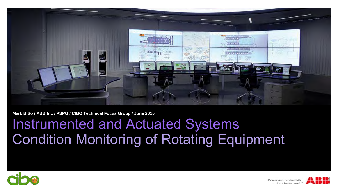

**Mark Bitto / ABB Inc / PSPG / CIBO Technical Focus Group / June 2015**

## Instrumented and Actuated Systems Condition Monitoring of Rotating Equipment





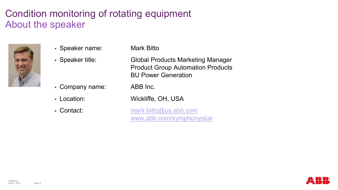## Condition monitoring of rotating equipment About the speaker



Speaker name: Mark Bitto

- Company name: ABB Inc.
- 
- 

 Speaker title: Global Products Marketing Manager Product Group Automation Products BU Power Generation

Location: Wickliffe, OH, USA

 Contact: [mark.bitto@us.abb.com](mailto:mark.bitto@us.abb.com) [www.abb.com/symphonyplus](http://new.abb.com/power-generation/symphony-plus)

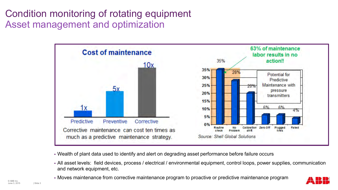## Condition monitoring of rotating equipment Asset management and optimization



- Wealth of plant data used to identify and alert on degrading asset performance before failure occurs
- All asset levels: field devices, process / electrical / environmental equipment, control loops, power supplies, communication and network equipment, etc.
- Moves maintenance from corrective maintenance program to proactive or predictive maintenance program

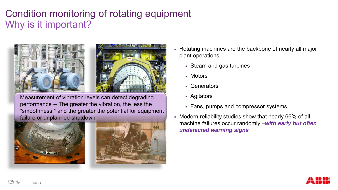## Condition monitoring of rotating equipment Why is it important?



Measurement of vibration levels can detect degrading performance -- The greater the vibration, the less the "smoothness," and the greater the potential for equipment failure or unplanned shutdown





- Rotating machines are the backbone of nearly all major plant operations
	- Steam and gas turbines
	- Motors
	- Generators
	- Agitators
	- Fans, pumps and compressor systems
- Modern reliability studies show that nearly 66% of all machine failures occur randomly –*with early but often undetected warning signs*

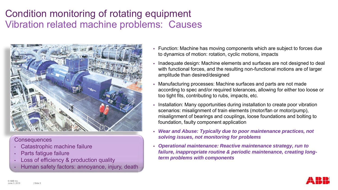## Condition monitoring of rotating equipment Vibration related machine problems: Causes



#### **Consequences**

- Catastrophic machine failure
- Parts fatigue failure
- Loss of efficiency & production quality
- Human safety factors: annoyance, injury, death
- Function: Machine has moving components which are subject to forces due to dynamics of motion: rotation, cyclic motions, impacts
- Inadequate design: Machine elements and surfaces are not designed to deal with functional forces, and the resulting non-functional motions are of larger amplitude than desired/designed
- Manufacturing processes: Machine surfaces and parts are not made according to spec and/or required tolerances, allowing for either too loose or too tight fits, contributing to rubs, impacts, etc.
- Installation: Many opportunities during installation to create poor vibration scenarios: misalignment of train elements (motor/fan or motor/pump), misalignment of bearings and couplings, loose foundations and bolting to foundation, faulty component application
- *Wear and Abuse: Typically due to poor maintenance practices, not solving issues, not monitoring for problems*
- *Operational maintenance: Reactive maintenance strategy, run to failure, inappropriate routine & periodic maintenance, creating longterm problems with components*

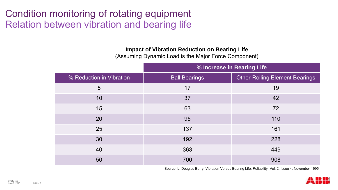## Condition monitoring of rotating equipment Relation between vibration and bearing life

#### **Impact of Vibration Reduction on Bearing Life**

(Assuming Dynamic Load is the Major Force Component)

|                          | % Increase in Bearing Life |                                       |
|--------------------------|----------------------------|---------------------------------------|
| % Reduction in Vibration | <b>Ball Bearings</b>       | <b>Other Rolling Element Bearings</b> |
| 5                        | 17                         | 19                                    |
| 10                       | 37                         | 42                                    |
| 15                       | 63                         | 72                                    |
| 20                       | 95                         | 110                                   |
| 25                       | 137                        | 161                                   |
| 30                       | 192                        | 228                                   |
| 40                       | 363                        | 449                                   |
| 50                       | 700                        | 908                                   |

Source: L. Douglas Berry, Vibration Versus Bearing Life, Reliability, Vol. 2, Issue 4, November 1995

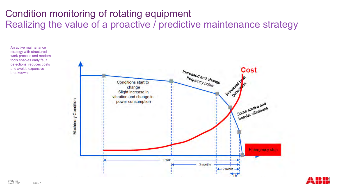## Condition monitoring of rotating equipment Realizing the value of a proactive / predictive maintenance strategy

An active maintenance strategy with structured work process and modern tools enables early fault detections, reduces costs and avoids expensive breakdowns



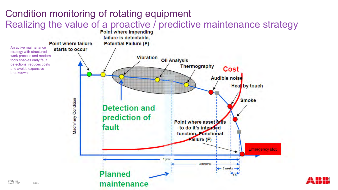## Condition monitoring of rotating equipment Realizing the value of a proactive / predictive maintenance strategy

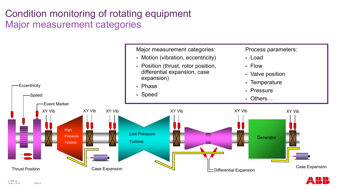## Condition monitoring of rotating equipment Major measurement categories



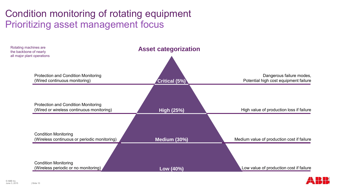### Condition monitoring of rotating equipment Prioritizing asset management focus



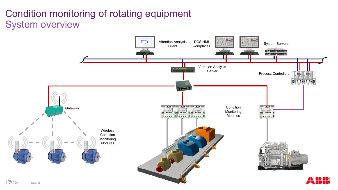## Condition monitoring of rotating equipment System overview

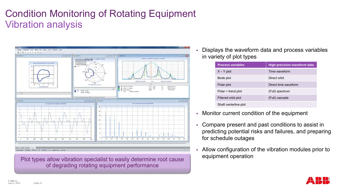## Condition Monitoring of Rotating Equipment Vibration analysis



Plot types allow vibration specialist to easily determine root cause of degrading rotating equipment performance

 Displays the waveform data and process variables in variety of plot types

| <b>Process variables</b> | <b>High-precision waveform data</b> |
|--------------------------|-------------------------------------|
| $X - Y$ plot             | Time waveform                       |
| Bode plot                | Direct orbit                        |
| Polar plot               | Direct time waveform                |
| Polar + trend plot       | (Full) spectrum                     |
| Filtered orbit plot      | (Full) cascade                      |
| Shaft centerline plot    |                                     |

- Monitor current condition of the equipment
- Compare present and past conditions to assist in predicting potential risks and failures, and preparing for schedule outages
- Allow configuration of the vibration modules prior to equipment operation

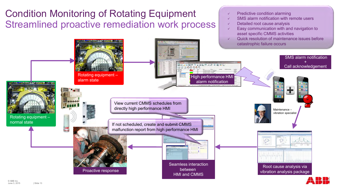## Condition Monitoring of Rotating Equipment Streamlined proactive remediation work process



- $\checkmark$  SMS alarm notification with remote users
- $\checkmark$  Detailed root cause analysis
- $\checkmark$  Easy communication with and navigation to asset specific CMMS activities
- Quick resolution of maintenance issues before catastrophic failure occurs



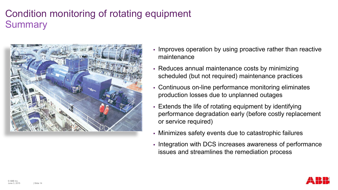## Condition monitoring of rotating equipment **Summary**



- Improves operation by using proactive rather than reactive maintenance
- Reduces annual maintenance costs by minimizing scheduled (but not required) maintenance practices
- Continuous on-line performance monitoring eliminates production losses due to unplanned outages
- Extends the life of rotating equipment by identifying performance degradation early (before costly replacement or service required)
- Minimizes safety events due to catastrophic failures
- Integration with DCS increases awareness of performance issues and streamlines the remediation process